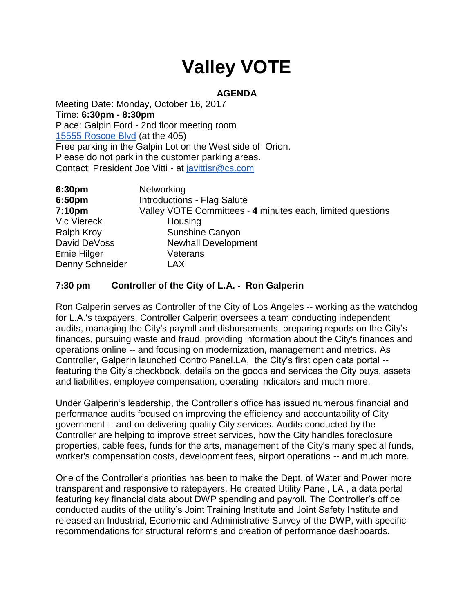# **Valley VOTE**

## **AGENDA**

Meeting Date: Monday, October 16, 2017 Time: **6:30pm - 8:30pm** Place: Galpin Ford - 2nd floor meeting room [15555 Roscoe Blvd](https://maps.google.com/?q=15555+Roscoe+Blvd&entry=gmail&source=g) (at the 405) Free parking in the Galpin Lot on the West side of Orion. Please do not park in the customer parking areas. Contact: President Joe Vitti - at [javittisr@cs.com](mailto:javittisr@cs.com)

| 6:30pm             | Networking                                                 |
|--------------------|------------------------------------------------------------|
| 6:50pm             | <b>Introductions - Flag Salute</b>                         |
| 7:10 <sub>pm</sub> | Valley VOTE Committees - 4 minutes each, limited questions |
| <b>Vic Viereck</b> | Housing                                                    |
| <b>Ralph Kroy</b>  | Sunshine Canyon                                            |
| David DeVoss       | <b>Newhall Development</b>                                 |
| Ernie Hilger       | Veterans                                                   |
| Denny Schneider    | LAX                                                        |

## **7:30 pm Controller of the City of L.A. - Ron Galperin**

Ron Galperin serves as Controller of the City of Los Angeles -- working as the watchdog for L.A.'s taxpayers. Controller Galperin oversees a team conducting independent audits, managing the City's payroll and disbursements, preparing reports on the City's finances, pursuing waste and fraud, providing information about the City's finances and operations online -- and focusing on modernization, management and metrics. As Controller, Galperin launched ControlPanel.LA, the City's first open data portal - featuring the City's checkbook, details on the goods and services the City buys, assets and liabilities, employee compensation, operating indicators and much more.

Under Galperin's leadership, the Controller's office has issued numerous financial and performance audits focused on improving the efficiency and accountability of City government -- and on delivering quality City services. Audits conducted by the Controller are helping to improve street services, how the City handles foreclosure properties, cable fees, funds for the arts, management of the City's many special funds, worker's compensation costs, development fees, airport operations -- and much more.

One of the Controller's priorities has been to make the Dept. of Water and Power more transparent and responsive to ratepayers. He created Utility Panel, LA , a data portal featuring key financial data about DWP spending and payroll. The Controller's office conducted audits of the utility's Joint Training Institute and Joint Safety Institute and released an Industrial, Economic and Administrative Survey of the DWP, with specific recommendations for structural reforms and creation of performance dashboards.